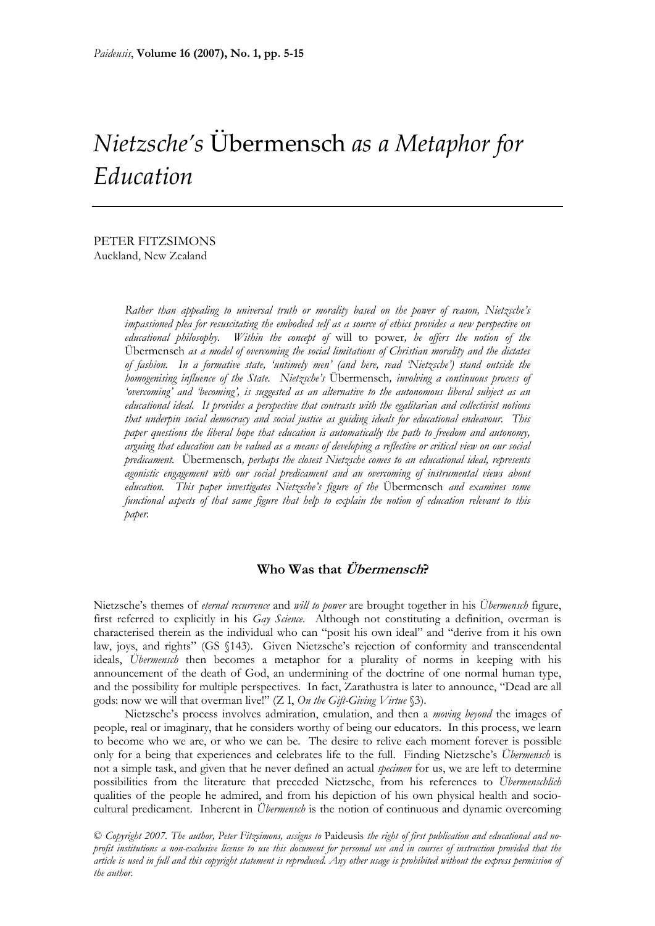# *Nietzsche's* Übermensch *as a Metaphor for*  $E$ *ducation*

PETER FITZSIMONS Auckland, New Zealand

> *Rather than appealing to universal truth or morality based on the power of reason, Nietzsche's impassioned plea for resuscitating the embodied self as a source of ethics provides a new perspective on educational philosophy. Within the concept of* will to power*, he offers the notion of the*  Übermensch *as a model of overcoming the social limitations of Christian morality and the dictates of fashion. In a formative state, 'untimely men' (and here, read 'Nietzsche') stand outside the homogenising influence of the State. Nietzsche's* Übermensch*, involving a continuous process of 'overcoming' and 'becoming', is suggested as an alternative to the autonomous liberal subject as an educational ideal. It provides a perspective that contrasts with the egalitarian and collectivist notions that underpin social democracy and social justice as guiding ideals for educational endeavour. This paper questions the liberal hope that education is automatically the path to freedom and autonomy, arguing that education can be valued as a means of developing a reflective or critical view on our social predicament.* Übermensch*, perhaps the closest Nietzsche comes to an educational ideal, represents agonistic engagement with our social predicament and an overcoming of instrumental views about education. This paper investigates Nietzsche's figure of the* Übermensch *and examines some functional aspects of that same figure that help to explain the notion of education relevant to this paper.*

## **Who Was that Übermensch?**

Nietzsche's themes of *eternal recurrence* and *will to power* are brought together in his *Übermensch* figure, first referred to explicitly in his *Gay Science*. Although not constituting a definition, overman is characterised therein as the individual who can "posit his own ideal" and "derive from it his own law, joys, and rights" (GS §143). Given Nietzsche's rejection of conformity and transcendental ideals, *Übermensch* then becomes a metaphor for a plurality of norms in keeping with his announcement of the death of God, an undermining of the doctrine of one normal human type, and the possibility for multiple perspectives. In fact, Zarathustra is later to announce, "Dead are all gods: now we will that overman live!" (Z I, *On the Gift-Giving Virtue* §3).

Nietzsche's process involves admiration, emulation, and then a *moving beyond* the images of people, real or imaginary, that he considers worthy of being our educators. In this process, we learn to become who we are, or who we can be. The desire to relive each moment forever is possible only for a being that experiences and celebrates life to the full. Finding Nietzsche's *Übermensch* is not a simple task, and given that he never defined an actual *specimen* for us, we are left to determine possibilities from the literature that preceded Nietzsche, from his references to *Übermenschlich*  qualities of the people he admired, and from his depiction of his own physical health and sociocultural predicament. Inherent in *Übermensch* is the notion of continuous and dynamic overcoming

© *Copyright 2007. The author, Peter Fitzsimons, assigns to* Paideusis *the right of first publication and educational and noprofit institutions a non-exclusive license to use this document for personal use and in courses of instruction provided that the article is used in full and this copyright statement is reproduced. Any other usage is prohibited without the express permission of the author.*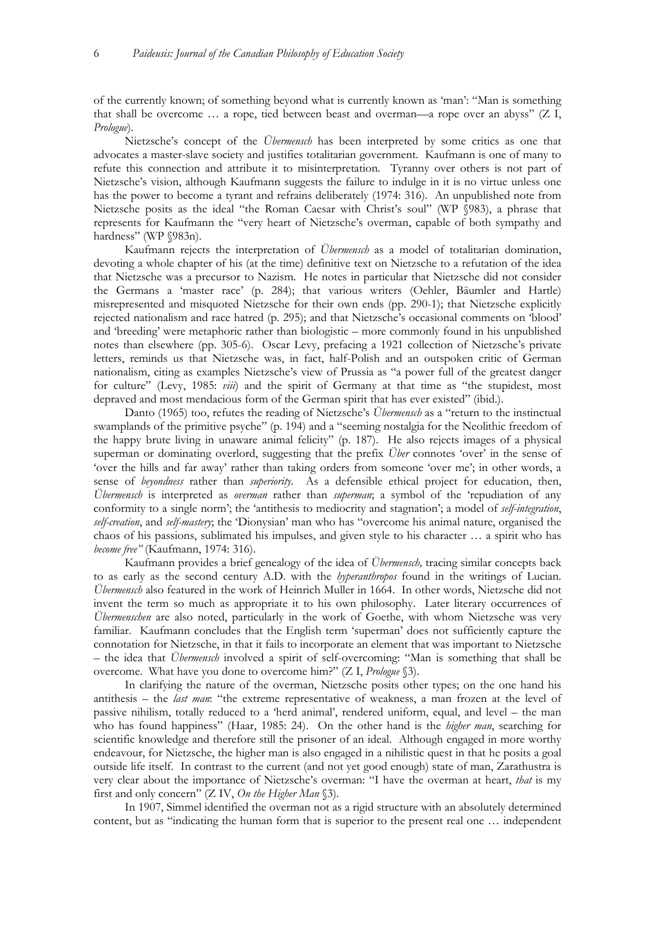of the currently known; of something beyond what is currently known as 'man': "Man is something that shall be overcome … a rope, tied between beast and overman—a rope over an abyss" (Z I, *Prologue*).

Nietzsche's concept of the *Übermensch* has been interpreted by some critics as one that advocates a master-slave society and justifies totalitarian government. Kaufmann is one of many to refute this connection and attribute it to misinterpretation. Tyranny over others is not part of Nietzsche's vision, although Kaufmann suggests the failure to indulge in it is no virtue unless one has the power to become a tyrant and refrains deliberately (1974: 316). An unpublished note from Nietzsche posits as the ideal "the Roman Caesar with Christ's soul" (WP §983), a phrase that represents for Kaufmann the "very heart of Nietzsche's overman, capable of both sympathy and hardness" (WP §983n).

Kaufmann rejects the interpretation of *Übermensch* as a model of totalitarian domination, devoting a whole chapter of his (at the time) definitive text on Nietzsche to a refutation of the idea that Nietzsche was a precursor to Nazism. He notes in particular that Nietzsche did not consider the Germans a 'master race' (p. 284); that various writers (Oehler, Bäumler and Hartle) misrepresented and misquoted Nietzsche for their own ends (pp. 290-1); that Nietzsche explicitly rejected nationalism and race hatred (p. 295); and that Nietzsche's occasional comments on 'blood' and 'breeding' were metaphoric rather than biologistic – more commonly found in his unpublished notes than elsewhere (pp. 305-6). Oscar Levy, prefacing a 1921 collection of Nietzsche's private letters, reminds us that Nietzsche was, in fact, half-Polish and an outspoken critic of German nationalism, citing as examples Nietzsche's view of Prussia as "a power full of the greatest danger for culture" (Levy, 1985: *viii*) and the spirit of Germany at that time as "the stupidest, most depraved and most mendacious form of the German spirit that has ever existed" (ibid.).

Danto (1965) too, refutes the reading of Nietzsche's *Übermensch* as a "return to the instinctual swamplands of the primitive psyche" (p. 194) and a "seeming nostalgia for the Neolithic freedom of the happy brute living in unaware animal felicity" (p. 187). He also rejects images of a physical superman or dominating overlord, suggesting that the prefix *Über* connotes 'over' in the sense of 'over the hills and far away' rather than taking orders from someone 'over me'; in other words, a sense of *beyondness* rather than *superiority*. As a defensible ethical project for education, then, *Übermensch* is interpreted as *overman* rather than *superman*; a symbol of the 'repudiation of any conformity to a single norm'; the 'antithesis to mediocrity and stagnation'; a model of *self-integration*, *self-creation*, and *self-mastery*; the 'Dionysian' man who has "overcome his animal nature, organised the chaos of his passions, sublimated his impulses, and given style to his character … a spirit who has *become free"* (Kaufmann, 1974: 316).

Kaufmann provides a brief genealogy of the idea of *Übermensch,* tracing similar concepts back to as early as the second century A.D. with the *hyperanthropos* found in the writings of Lucian. *Übermensch* also featured in the work of Heinrich Muller in 1664. In other words, Nietzsche did not invent the term so much as appropriate it to his own philosophy. Later literary occurrences of *Übermenschen* are also noted, particularly in the work of Goethe, with whom Nietzsche was very familiar. Kaufmann concludes that the English term 'superman' does not sufficiently capture the connotation for Nietzsche, in that it fails to incorporate an element that was important to Nietzsche – the idea that *Übermensch* involved a spirit of self-overcoming: "Man is something that shall be overcome. What have you done to overcome him?" (Z I, *Prologue* §3).

In clarifying the nature of the overman, Nietzsche posits other types; on the one hand his antithesis – the *last man*: "the extreme representative of weakness, a man frozen at the level of passive nihilism, totally reduced to a 'herd animal', rendered uniform, equal, and level – the man who has found happiness" (Haar, 1985: 24). On the other hand is the *higher man*, searching for scientific knowledge and therefore still the prisoner of an ideal. Although engaged in more worthy endeavour, for Nietzsche, the higher man is also engaged in a nihilistic quest in that he posits a goal outside life itself. In contrast to the current (and not yet good enough) state of man, Zarathustra is very clear about the importance of Nietzsche's overman: "I have the overman at heart, *that* is my first and only concern" (Z IV, *On the Higher Man* §3).

In 1907, Simmel identified the overman not as a rigid structure with an absolutely determined content, but as "indicating the human form that is superior to the present real one … independent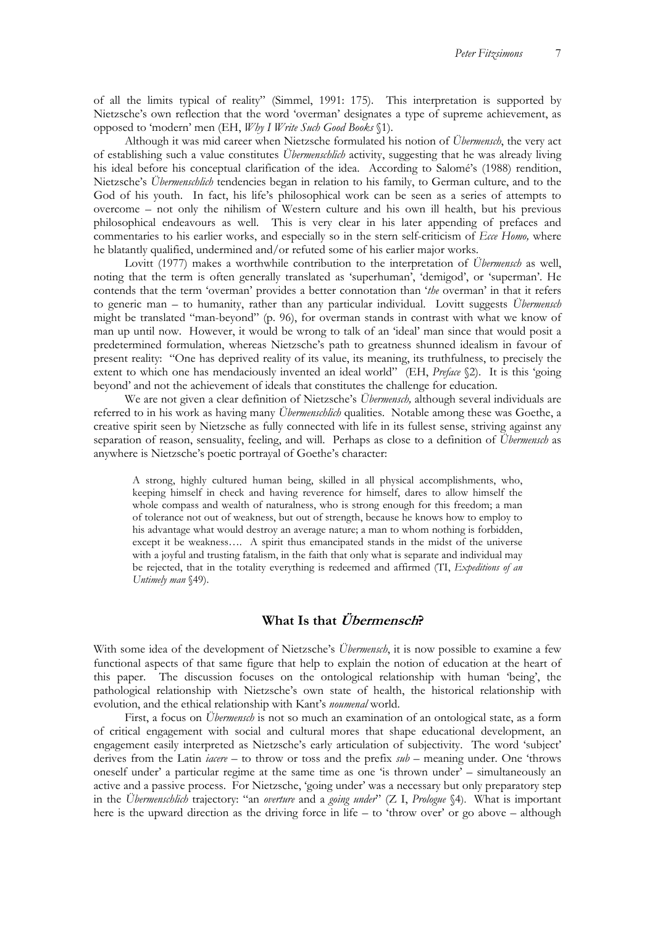of all the limits typical of reality" (Simmel, 1991: 175). This interpretation is supported by Nietzsche's own reflection that the word 'overman' designates a type of supreme achievement, as opposed to 'modern' men (EH, *Why I Write Such Good Books* §1).

Although it was mid career when Nietzsche formulated his notion of *Übermensch*, the very act of establishing such a value constitutes *Übermenschlich* activity, suggesting that he was already living his ideal before his conceptual clarification of the idea. According to Salomé's (1988) rendition, Nietzsche's *Übermenschlich* tendencies began in relation to his family, to German culture, and to the God of his youth. In fact, his life's philosophical work can be seen as a series of attempts to overcome – not only the nihilism of Western culture and his own ill health, but his previous philosophical endeavours as well. This is very clear in his later appending of prefaces and commentaries to his earlier works, and especially so in the stern self-criticism of *Ecce Homo,* where he blatantly qualified, undermined and/or refuted some of his earlier major works.

Lovitt (1977) makes a worthwhile contribution to the interpretation of *Übermensch* as well, noting that the term is often generally translated as 'superhuman', 'demigod', or 'superman'. He contends that the term 'overman' provides a better connotation than '*the* overman' in that it refers to generic man – to humanity, rather than any particular individual. Lovitt suggests *Übermensch*  might be translated "man-beyond" (p. 96), for overman stands in contrast with what we know of man up until now. However, it would be wrong to talk of an 'ideal' man since that would posit a predetermined formulation, whereas Nietzsche's path to greatness shunned idealism in favour of present reality: "One has deprived reality of its value, its meaning, its truthfulness, to precisely the extent to which one has mendaciously invented an ideal world" (EH, *Preface* §2). It is this 'going beyond' and not the achievement of ideals that constitutes the challenge for education.

We are not given a clear definition of Nietzsche's *Übermensch,* although several individuals are referred to in his work as having many *Übermenschlich* qualities. Notable among these was Goethe, a creative spirit seen by Nietzsche as fully connected with life in its fullest sense, striving against any separation of reason, sensuality, feeling, and will. Perhaps as close to a definition of *Übermensch* as anywhere is Nietzsche's poetic portrayal of Goethe's character:

A strong, highly cultured human being, skilled in all physical accomplishments, who, keeping himself in check and having reverence for himself, dares to allow himself the whole compass and wealth of naturalness, who is strong enough for this freedom; a man of tolerance not out of weakness, but out of strength, because he knows how to employ to his advantage what would destroy an average nature; a man to whom nothing is forbidden, except it be weakness…. A spirit thus emancipated stands in the midst of the universe with a joyful and trusting fatalism, in the faith that only what is separate and individual may be rejected, that in the totality everything is redeemed and affirmed (TI, *Expeditions of an Untimely man* §49).

## **What Is that Übermensch?**

With some idea of the development of Nietzsche's *Übermensch*, it is now possible to examine a few functional aspects of that same figure that help to explain the notion of education at the heart of this paper. The discussion focuses on the ontological relationship with human 'being', the pathological relationship with Nietzsche's own state of health, the historical relationship with evolution, and the ethical relationship with Kant's *noumenal* world.

First, a focus on *Übermensch* is not so much an examination of an ontological state, as a form of critical engagement with social and cultural mores that shape educational development, an engagement easily interpreted as Nietzsche's early articulation of subjectivity. The word 'subject' derives from the Latin *iacere* – to throw or toss and the prefix *sub* – meaning under. One 'throws oneself under' a particular regime at the same time as one 'is thrown under' – simultaneously an active and a passive process. For Nietzsche, 'going under' was a necessary but only preparatory step in the *Übermenschlich* trajectory: "an *overture* and a *going under*" (Z I, *Prologue* §4). What is important here is the upward direction as the driving force in life – to 'throw over' or go above – although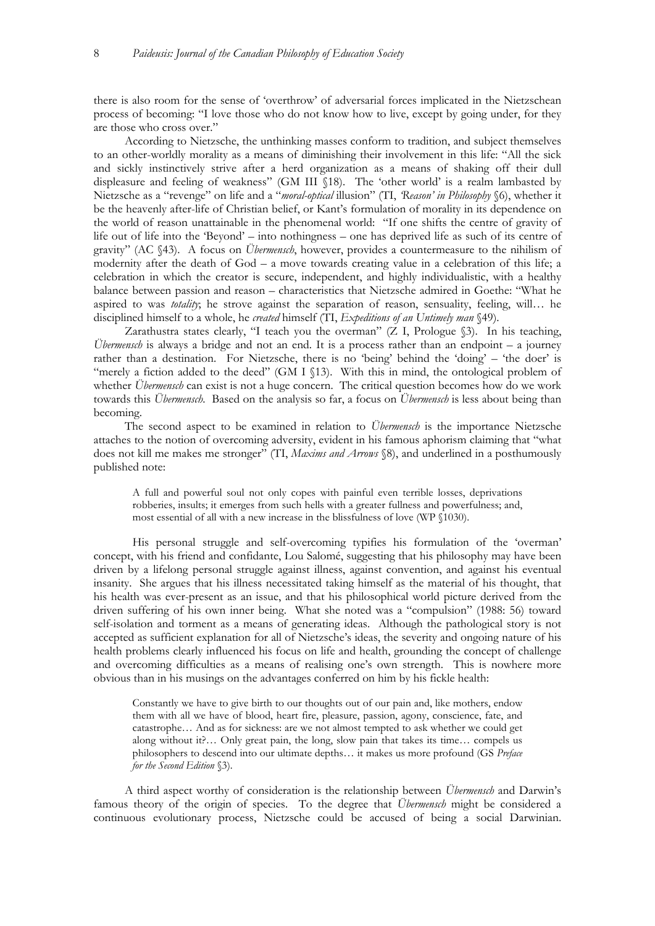there is also room for the sense of 'overthrow' of adversarial forces implicated in the Nietzschean process of becoming: "I love those who do not know how to live, except by going under, for they are those who cross over."

According to Nietzsche, the unthinking masses conform to tradition, and subject themselves to an other-worldly morality as a means of diminishing their involvement in this life: "All the sick and sickly instinctively strive after a herd organization as a means of shaking off their dull displeasure and feeling of weakness" (GM III §18). The 'other world' is a realm lambasted by Nietzsche as a "revenge" on life and a "*moral-optical* illusion" (TI, *'Reason' in Philosophy* §6), whether it be the heavenly after-life of Christian belief, or Kant's formulation of morality in its dependence on the world of reason unattainable in the phenomenal world: "If one shifts the centre of gravity of life out of life into the 'Beyond' – into nothingness – one has deprived life as such of its centre of gravity" (AC §43). A focus on *Übermensch*, however, provides a countermeasure to the nihilism of modernity after the death of God – a move towards creating value in a celebration of this life; a celebration in which the creator is secure, independent, and highly individualistic, with a healthy balance between passion and reason – characteristics that Nietzsche admired in Goethe: "What he aspired to was *totality*; he strove against the separation of reason, sensuality, feeling, will… he disciplined himself to a whole, he *created* himself (TI, *Expeditions of an Untimely man* §49).

Zarathustra states clearly, "I teach you the overman" (Z I, Prologue  $\S$ ). In his teaching, *Übermensch* is always a bridge and not an end. It is a process rather than an endpoint – a journey rather than a destination. For Nietzsche, there is no 'being' behind the 'doing' – 'the doer' is "merely a fiction added to the deed" (GM I §13). With this in mind, the ontological problem of whether *Übermensch* can exist is not a huge concern. The critical question becomes how do we work towards this *Übermensch*. Based on the analysis so far, a focus on *Übermensch* is less about being than becoming.

The second aspect to be examined in relation to *Übermensch* is the importance Nietzsche attaches to the notion of overcoming adversity, evident in his famous aphorism claiming that "what does not kill me makes me stronger" (TI, *Maxims and Arrows* §8), and underlined in a posthumously published note:

A full and powerful soul not only copes with painful even terrible losses, deprivations robberies, insults; it emerges from such hells with a greater fullness and powerfulness; and, most essential of all with a new increase in the blissfulness of love (WP §1030).

His personal struggle and self-overcoming typifies his formulation of the 'overman' concept, with his friend and confidante, Lou Salomé, suggesting that his philosophy may have been driven by a lifelong personal struggle against illness, against convention, and against his eventual insanity. She argues that his illness necessitated taking himself as the material of his thought, that his health was ever-present as an issue, and that his philosophical world picture derived from the driven suffering of his own inner being. What she noted was a "compulsion" (1988: 56) toward self-isolation and torment as a means of generating ideas. Although the pathological story is not accepted as sufficient explanation for all of Nietzsche's ideas, the severity and ongoing nature of his health problems clearly influenced his focus on life and health, grounding the concept of challenge and overcoming difficulties as a means of realising one's own strength. This is nowhere more obvious than in his musings on the advantages conferred on him by his fickle health:

Constantly we have to give birth to our thoughts out of our pain and, like mothers, endow them with all we have of blood, heart fire, pleasure, passion, agony, conscience, fate, and catastrophe… And as for sickness: are we not almost tempted to ask whether we could get along without it?… Only great pain, the long, slow pain that takes its time… compels us philosophers to descend into our ultimate depths… it makes us more profound (GS *Preface for the Second Edition* §3).

A third aspect worthy of consideration is the relationship between *Übermensch* and Darwin's famous theory of the origin of species. To the degree that *Übermensch* might be considered a continuous evolutionary process, Nietzsche could be accused of being a social Darwinian.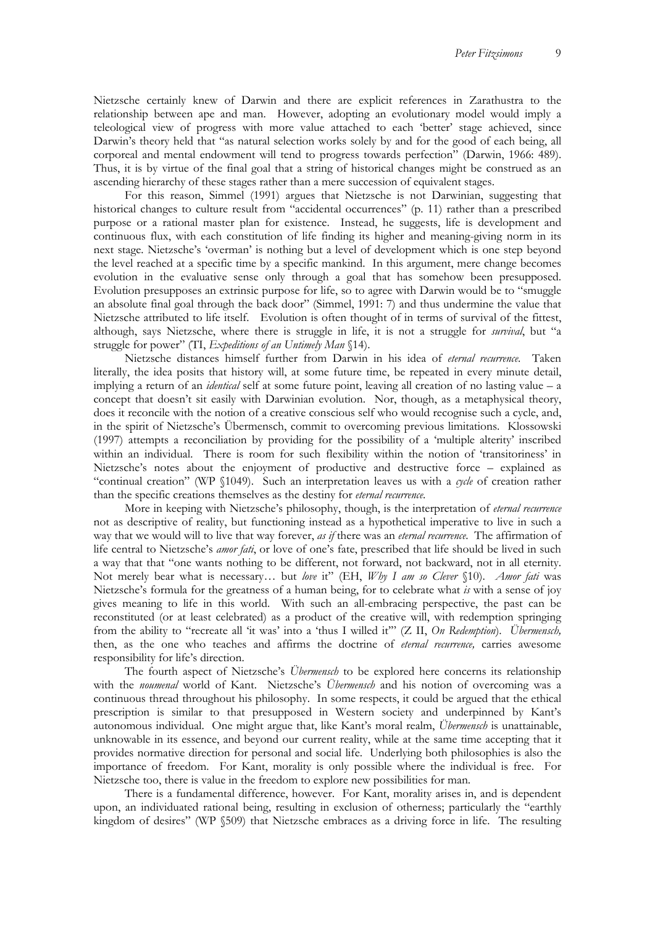Nietzsche certainly knew of Darwin and there are explicit references in Zarathustra to the relationship between ape and man. However, adopting an evolutionary model would imply a teleological view of progress with more value attached to each 'better' stage achieved, since Darwin's theory held that "as natural selection works solely by and for the good of each being, all corporeal and mental endowment will tend to progress towards perfection" (Darwin, 1966: 489). Thus, it is by virtue of the final goal that a string of historical changes might be construed as an ascending hierarchy of these stages rather than a mere succession of equivalent stages.

For this reason, Simmel (1991) argues that Nietzsche is not Darwinian, suggesting that historical changes to culture result from "accidental occurrences" (p. 11) rather than a prescribed purpose or a rational master plan for existence. Instead, he suggests, life is development and continuous flux, with each constitution of life finding its higher and meaning-giving norm in its next stage. Nietzsche's 'overman' is nothing but a level of development which is one step beyond the level reached at a specific time by a specific mankind. In this argument, mere change becomes evolution in the evaluative sense only through a goal that has somehow been presupposed. Evolution presupposes an extrinsic purpose for life, so to agree with Darwin would be to "smuggle an absolute final goal through the back door" (Simmel, 1991: 7) and thus undermine the value that Nietzsche attributed to life itself. Evolution is often thought of in terms of survival of the fittest, although, says Nietzsche, where there is struggle in life, it is not a struggle for *survival*, but "a struggle for power" (TI, *Expeditions of an Untimely Man* §14).

Nietzsche distances himself further from Darwin in his idea of *eternal recurrence*. Taken literally, the idea posits that history will, at some future time, be repeated in every minute detail, implying a return of an *identical* self at some future point, leaving all creation of no lasting value – a concept that doesn't sit easily with Darwinian evolution. Nor, though, as a metaphysical theory, does it reconcile with the notion of a creative conscious self who would recognise such a cycle, and, in the spirit of Nietzsche's Übermensch, commit to overcoming previous limitations. Klossowski (1997) attempts a reconciliation by providing for the possibility of a 'multiple alterity' inscribed within an individual. There is room for such flexibility within the notion of 'transitoriness' in Nietzsche's notes about the enjoyment of productive and destructive force – explained as "continual creation" (WP §1049). Such an interpretation leaves us with a *cycle* of creation rather than the specific creations themselves as the destiny for *eternal recurrence*.

More in keeping with Nietzsche's philosophy, though, is the interpretation of *eternal recurrence*  not as descriptive of reality, but functioning instead as a hypothetical imperative to live in such a way that we would will to live that way forever, *as if* there was an *eternal recurrence*. The affirmation of life central to Nietzsche's *amor fati*, or love of one's fate, prescribed that life should be lived in such a way that that "one wants nothing to be different, not forward, not backward, not in all eternity. Not merely bear what is necessary… but *love* it" (EH, *Why I am so Clever* §10). *Amor fati* was Nietzsche's formula for the greatness of a human being, for to celebrate what *is* with a sense of joy gives meaning to life in this world. With such an all-embracing perspective, the past can be reconstituted (or at least celebrated) as a product of the creative will, with redemption springing from the ability to "recreate all 'it was' into a 'thus I willed it'" (Z II, *On Redemption*). *Übermensch,*  then, as the one who teaches and affirms the doctrine of *eternal recurrence,* carries awesome responsibility for life's direction.

The fourth aspect of Nietzsche's *Übermensch* to be explored here concerns its relationship with the *noumenal* world of Kant. Nietzsche's *Übermensch* and his notion of overcoming was a continuous thread throughout his philosophy. In some respects, it could be argued that the ethical prescription is similar to that presupposed in Western society and underpinned by Kant's autonomous individual. One might argue that, like Kant's moral realm, *Übermensch* is unattainable, unknowable in its essence, and beyond our current reality, while at the same time accepting that it provides normative direction for personal and social life. Underlying both philosophies is also the importance of freedom. For Kant, morality is only possible where the individual is free. For Nietzsche too, there is value in the freedom to explore new possibilities for man.

There is a fundamental difference, however. For Kant, morality arises in, and is dependent upon, an individuated rational being, resulting in exclusion of otherness; particularly the "earthly kingdom of desires" (WP §509) that Nietzsche embraces as a driving force in life. The resulting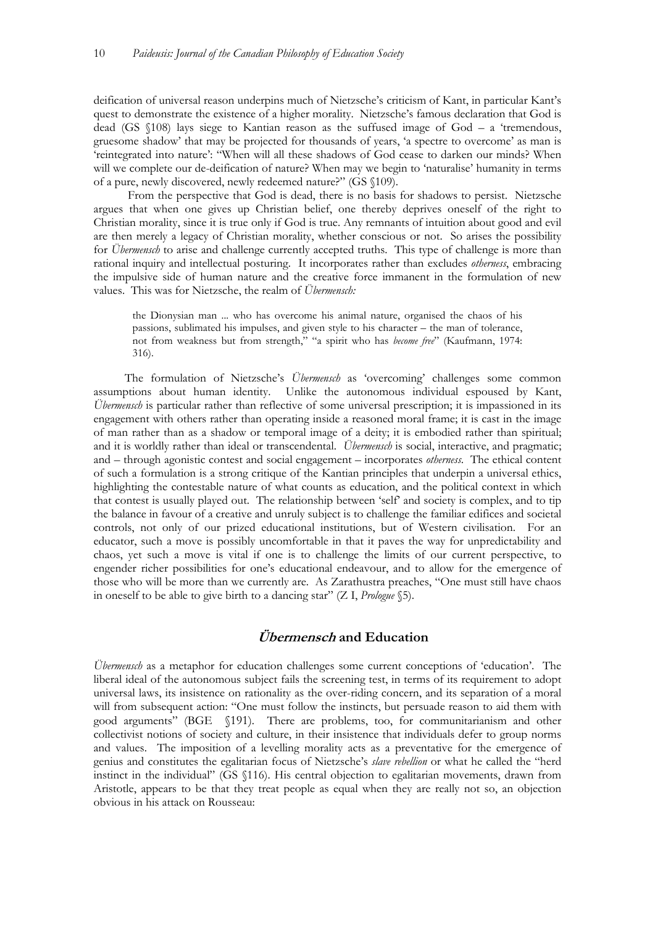deification of universal reason underpins much of Nietzsche's criticism of Kant, in particular Kant's quest to demonstrate the existence of a higher morality. Nietzsche's famous declaration that God is dead (GS §108) lays siege to Kantian reason as the suffused image of God – a 'tremendous, gruesome shadow' that may be projected for thousands of years, 'a spectre to overcome' as man is 'reintegrated into nature': "When will all these shadows of God cease to darken our minds? When will we complete our de-deification of nature? When may we begin to 'naturalise' humanity in terms of a pure, newly discovered, newly redeemed nature?" (GS §109).

 From the perspective that God is dead, there is no basis for shadows to persist. Nietzsche argues that when one gives up Christian belief, one thereby deprives oneself of the right to Christian morality, since it is true only if God is true. Any remnants of intuition about good and evil are then merely a legacy of Christian morality, whether conscious or not. So arises the possibility for *Übermensch* to arise and challenge currently accepted truths. This type of challenge is more than rational inquiry and intellectual posturing. It incorporates rather than excludes *otherness*, embracing the impulsive side of human nature and the creative force immanent in the formulation of new values. This was for Nietzsche, the realm of *Übermensch:*

the Dionysian man ... who has overcome his animal nature, organised the chaos of his passions, sublimated his impulses, and given style to his character – the man of tolerance, not from weakness but from strength," "a spirit who has *become free*" (Kaufmann, 1974: 316).

The formulation of Nietzsche's *Übermensch* as 'overcoming' challenges some common assumptions about human identity. Unlike the autonomous individual espoused by Kant, *Übermensch* is particular rather than reflective of some universal prescription; it is impassioned in its engagement with others rather than operating inside a reasoned moral frame; it is cast in the image of man rather than as a shadow or temporal image of a deity; it is embodied rather than spiritual; and it is worldly rather than ideal or transcendental. *Übermensch* is social, interactive, and pragmatic; and – through agonistic contest and social engagement – incorporates *otherness*. The ethical content of such a formulation is a strong critique of the Kantian principles that underpin a universal ethics, highlighting the contestable nature of what counts as education, and the political context in which that contest is usually played out. The relationship between 'self' and society is complex, and to tip the balance in favour of a creative and unruly subject is to challenge the familiar edifices and societal controls, not only of our prized educational institutions, but of Western civilisation. For an educator, such a move is possibly uncomfortable in that it paves the way for unpredictability and chaos, yet such a move is vital if one is to challenge the limits of our current perspective, to engender richer possibilities for one's educational endeavour, and to allow for the emergence of those who will be more than we currently are. As Zarathustra preaches, "One must still have chaos in oneself to be able to give birth to a dancing star" (Z I, *Prologue* §5).

## **Übermensch and Education**

*Übermensch* as a metaphor for education challenges some current conceptions of 'education'. The liberal ideal of the autonomous subject fails the screening test, in terms of its requirement to adopt universal laws, its insistence on rationality as the over-riding concern, and its separation of a moral will from subsequent action: "One must follow the instincts, but persuade reason to aid them with good arguments" (BGE §191). There are problems, too, for communitarianism and other collectivist notions of society and culture, in their insistence that individuals defer to group norms and values. The imposition of a levelling morality acts as a preventative for the emergence of genius and constitutes the egalitarian focus of Nietzsche's *slave rebellion* or what he called the "herd instinct in the individual" (GS §116). His central objection to egalitarian movements, drawn from Aristotle, appears to be that they treat people as equal when they are really not so, an objection obvious in his attack on Rousseau: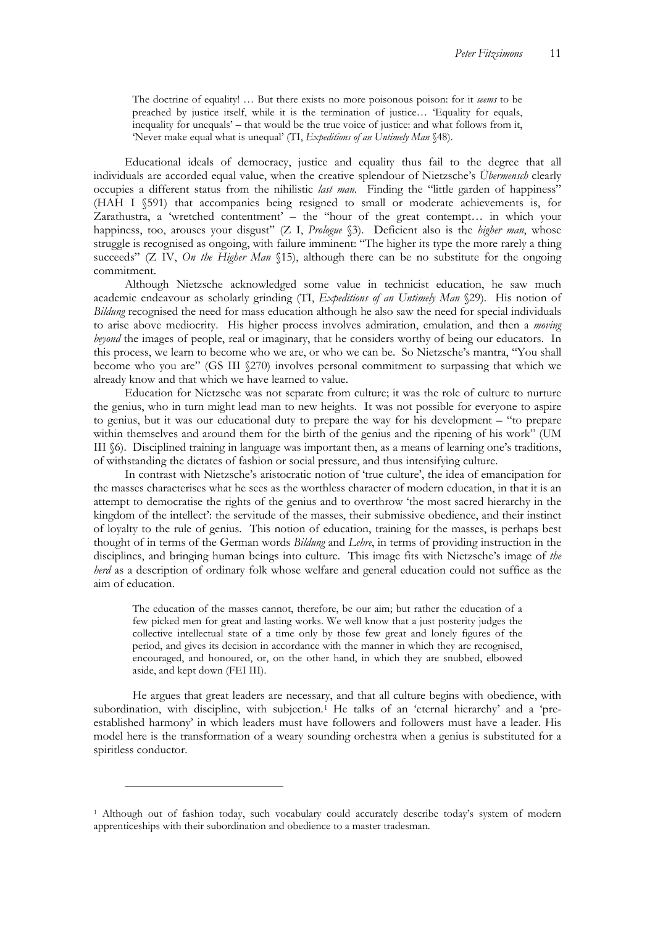The doctrine of equality! … But there exists no more poisonous poison: for it *seems* to be preached by justice itself, while it is the termination of justice… 'Equality for equals, inequality for unequals' – that would be the true voice of justice: and what follows from it, 'Never make equal what is unequal' (TI, *Expeditions of an Untimely Man* §48).

Educational ideals of democracy, justice and equality thus fail to the degree that all individuals are accorded equal value, when the creative splendour of Nietzsche's *Übermensch* clearly occupies a different status from the nihilistic *last man*. Finding the "little garden of happiness" (HAH I §591) that accompanies being resigned to small or moderate achievements is, for Zarathustra, a 'wretched contentment' – the "hour of the great contempt… in which your happiness, too, arouses your disgust" (Z I, *Prologue* §3). Deficient also is the *higher man*, whose struggle is recognised as ongoing, with failure imminent: "The higher its type the more rarely a thing succeeds" (Z IV, *On the Higher Man* §15), although there can be no substitute for the ongoing commitment.

Although Nietzsche acknowledged some value in technicist education, he saw much academic endeavour as scholarly grinding (TI, *Expeditions of an Untimely Man* §29). His notion of *Bildung* recognised the need for mass education although he also saw the need for special individuals to arise above mediocrity. His higher process involves admiration, emulation, and then a *moving beyond* the images of people, real or imaginary, that he considers worthy of being our educators. In this process, we learn to become who we are, or who we can be. So Nietzsche's mantra, "You shall become who you are" (GS III §270) involves personal commitment to surpassing that which we already know and that which we have learned to value.

Education for Nietzsche was not separate from culture; it was the role of culture to nurture the genius, who in turn might lead man to new heights. It was not possible for everyone to aspire to genius, but it was our educational duty to prepare the way for his development – "to prepare within themselves and around them for the birth of the genius and the ripening of his work" (UM III §6). Disciplined training in language was important then, as a means of learning one's traditions, of withstanding the dictates of fashion or social pressure, and thus intensifying culture.

In contrast with Nietzsche's aristocratic notion of 'true culture', the idea of emancipation for the masses characterises what he sees as the worthless character of modern education, in that it is an attempt to democratise the rights of the genius and to overthrow 'the most sacred hierarchy in the kingdom of the intellect': the servitude of the masses, their submissive obedience, and their instinct of loyalty to the rule of genius. This notion of education, training for the masses, is perhaps best thought of in terms of the German words *Bildung* and *Lehre*, in terms of providing instruction in the disciplines, and bringing human beings into culture. This image fits with Nietzsche's image of *the herd* as a description of ordinary folk whose welfare and general education could not suffice as the aim of education.

The education of the masses cannot, therefore, be our aim; but rather the education of a few picked men for great and lasting works. We well know that a just posterity judges the collective intellectual state of a time only by those few great and lonely figures of the period, and gives its decision in accordance with the manner in which they are recognised, encouraged, and honoured, or, on the other hand, in which they are snubbed, elbowed aside, and kept down (FEI III).

He argues that great leaders are necessary, and that all culture begins with obedience, with subordination, with discipline, with subjection.<sup>1</sup> He talks of an 'eternal hierarchy' and a 'preestablished harmony' in which leaders must have followers and followers must have a leader. His model here is the transformation of a weary sounding orchestra when a genius is substituted for a spiritless conductor.

 $\overline{a}$ 

<sup>1</sup> Although out of fashion today, such vocabulary could accurately describe today's system of modern apprenticeships with their subordination and obedience to a master tradesman.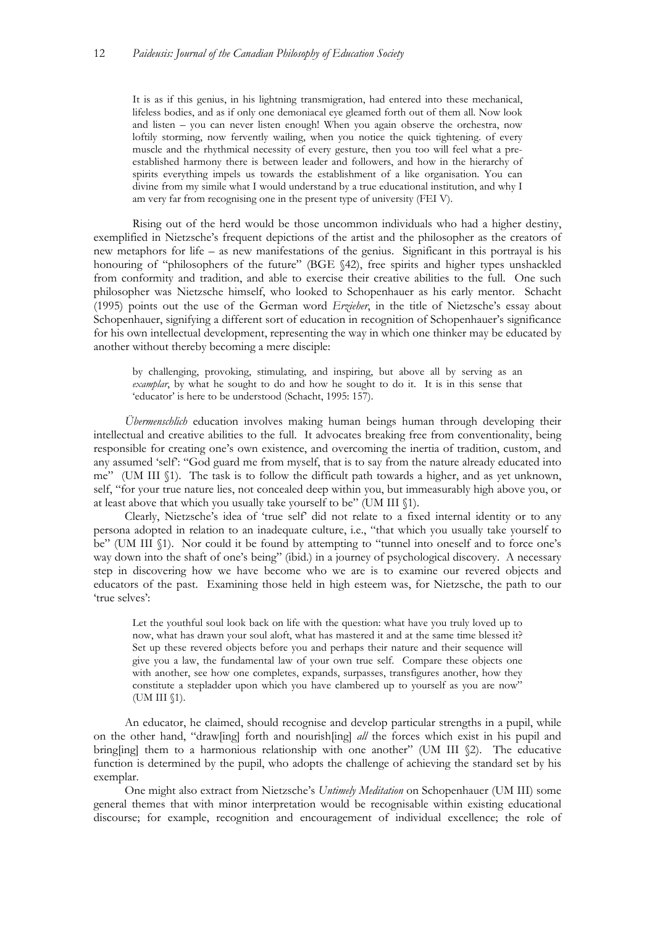It is as if this genius, in his lightning transmigration, had entered into these mechanical, lifeless bodies, and as if only one demoniacal eye gleamed forth out of them all. Now look and listen – you can never listen enough! When you again observe the orchestra, now loftily storming, now fervently wailing, when you notice the quick tightening. of every muscle and the rhythmical necessity of every gesture, then you too will feel what a preestablished harmony there is between leader and followers, and how in the hierarchy of spirits everything impels us towards the establishment of a like organisation. You can divine from my simile what I would understand by a true educational institution, and why I am very far from recognising one in the present type of university (FEI V).

Rising out of the herd would be those uncommon individuals who had a higher destiny, exemplified in Nietzsche's frequent depictions of the artist and the philosopher as the creators of new metaphors for life – as new manifestations of the genius. Significant in this portrayal is his honouring of "philosophers of the future" (BGE §42), free spirits and higher types unshackled from conformity and tradition, and able to exercise their creative abilities to the full. One such philosopher was Nietzsche himself, who looked to Schopenhauer as his early mentor. Schacht (1995) points out the use of the German word *Erzieher*, in the title of Nietzsche's essay about Schopenhauer, signifying a different sort of education in recognition of Schopenhauer's significance for his own intellectual development, representing the way in which one thinker may be educated by another without thereby becoming a mere disciple:

by challenging, provoking, stimulating, and inspiring, but above all by serving as an *examplar*, by what he sought to do and how he sought to do it. It is in this sense that 'educator' is here to be understood (Schacht, 1995: 157).

*Übermenschlich* education involves making human beings human through developing their intellectual and creative abilities to the full. It advocates breaking free from conventionality, being responsible for creating one's own existence, and overcoming the inertia of tradition, custom, and any assumed 'self': "God guard me from myself, that is to say from the nature already educated into me" (UM III §1). The task is to follow the difficult path towards a higher, and as yet unknown, self, "for your true nature lies, not concealed deep within you, but immeasurably high above you, or at least above that which you usually take yourself to be" (UM III §1).

Clearly, Nietzsche's idea of 'true self' did not relate to a fixed internal identity or to any persona adopted in relation to an inadequate culture, i.e., "that which you usually take yourself to be" (UM III §1). Nor could it be found by attempting to "tunnel into oneself and to force one's way down into the shaft of one's being" (ibid.) in a journey of psychological discovery. A necessary step in discovering how we have become who we are is to examine our revered objects and educators of the past. Examining those held in high esteem was, for Nietzsche, the path to our 'true selves':

Let the youthful soul look back on life with the question: what have you truly loved up to now, what has drawn your soul aloft, what has mastered it and at the same time blessed it? Set up these revered objects before you and perhaps their nature and their sequence will give you a law, the fundamental law of your own true self. Compare these objects one with another, see how one completes, expands, surpasses, transfigures another, how they constitute a stepladder upon which you have clambered up to yourself as you are now" (UM III §1).

An educator, he claimed, should recognise and develop particular strengths in a pupil, while on the other hand, "draw[ing] forth and nourish[ing] *all* the forces which exist in his pupil and bring[ing] them to a harmonious relationship with one another" (UM III  $\Diamond$ ). The educative function is determined by the pupil, who adopts the challenge of achieving the standard set by his exemplar.

One might also extract from Nietzsche's *Untimely Meditation* on Schopenhauer (UM III) some general themes that with minor interpretation would be recognisable within existing educational discourse; for example, recognition and encouragement of individual excellence; the role of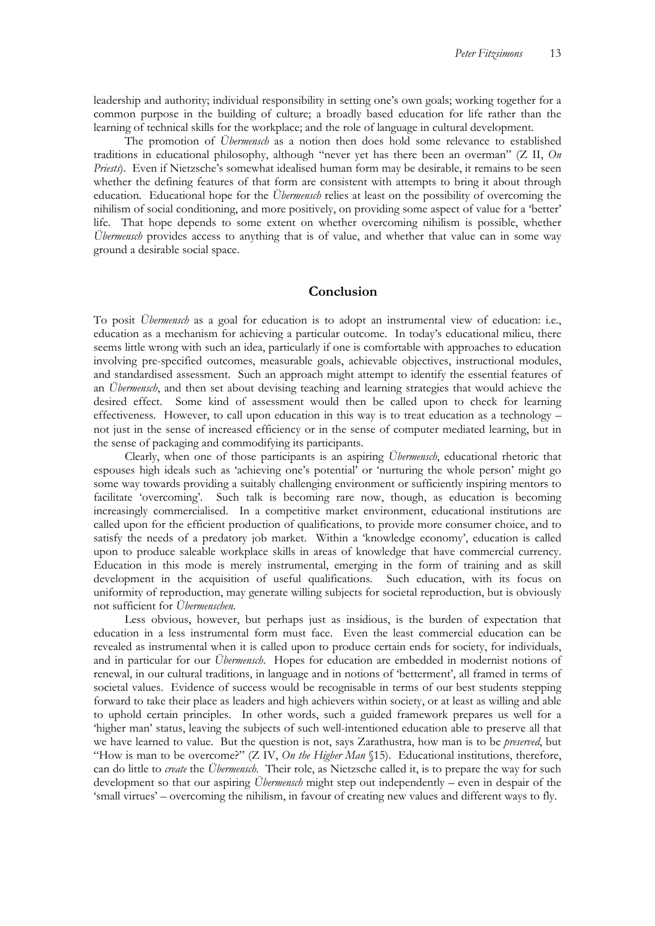leadership and authority; individual responsibility in setting one's own goals; working together for a common purpose in the building of culture; a broadly based education for life rather than the learning of technical skills for the workplace; and the role of language in cultural development.

The promotion of *Übermensch* as a notion then does hold some relevance to established traditions in educational philosophy, although "never yet has there been an overman" (Z II, *On Priests*). Even if Nietzsche's somewhat idealised human form may be desirable, it remains to be seen whether the defining features of that form are consistent with attempts to bring it about through education. Educational hope for the *Übermensch* relies at least on the possibility of overcoming the nihilism of social conditioning, and more positively, on providing some aspect of value for a 'better' life. That hope depends to some extent on whether overcoming nihilism is possible, whether *Übermensch* provides access to anything that is of value, and whether that value can in some way ground a desirable social space.

#### **Conclusion**

To posit *Übermensch* as a goal for education is to adopt an instrumental view of education: i.e., education as a mechanism for achieving a particular outcome. In today's educational milieu, there seems little wrong with such an idea, particularly if one is comfortable with approaches to education involving pre-specified outcomes, measurable goals, achievable objectives, instructional modules, and standardised assessment. Such an approach might attempt to identify the essential features of an *Übermensch*, and then set about devising teaching and learning strategies that would achieve the desired effect. Some kind of assessment would then be called upon to check for learning effectiveness. However, to call upon education in this way is to treat education as a technology – not just in the sense of increased efficiency or in the sense of computer mediated learning, but in the sense of packaging and commodifying its participants.

Clearly, when one of those participants is an aspiring *Übermensch*, educational rhetoric that espouses high ideals such as 'achieving one's potential' or 'nurturing the whole person' might go some way towards providing a suitably challenging environment or sufficiently inspiring mentors to facilitate 'overcoming'. Such talk is becoming rare now, though, as education is becoming increasingly commercialised. In a competitive market environment, educational institutions are called upon for the efficient production of qualifications, to provide more consumer choice, and to satisfy the needs of a predatory job market. Within a 'knowledge economy', education is called upon to produce saleable workplace skills in areas of knowledge that have commercial currency. Education in this mode is merely instrumental, emerging in the form of training and as skill development in the acquisition of useful qualifications. Such education, with its focus on uniformity of reproduction, may generate willing subjects for societal reproduction, but is obviously not sufficient for *Übermenschen*.

Less obvious, however, but perhaps just as insidious, is the burden of expectation that education in a less instrumental form must face. Even the least commercial education can be revealed as instrumental when it is called upon to produce certain ends for society, for individuals, and in particular for our *Übermensch*. Hopes for education are embedded in modernist notions of renewal, in our cultural traditions, in language and in notions of 'betterment', all framed in terms of societal values. Evidence of success would be recognisable in terms of our best students stepping forward to take their place as leaders and high achievers within society, or at least as willing and able to uphold certain principles. In other words, such a guided framework prepares us well for a 'higher man' status, leaving the subjects of such well-intentioned education able to preserve all that we have learned to value. But the question is not, says Zarathustra, how man is to be *preserved*, but "How is man to be overcome?" (Z IV, *On the Higher Man* §15). Educational institutions, therefore, can do little to *create* the *Übermensch.* Their role, as Nietzsche called it, is to prepare the way for such development so that our aspiring *Übermensch* might step out independently – even in despair of the 'small virtues' – overcoming the nihilism, in favour of creating new values and different ways to fly.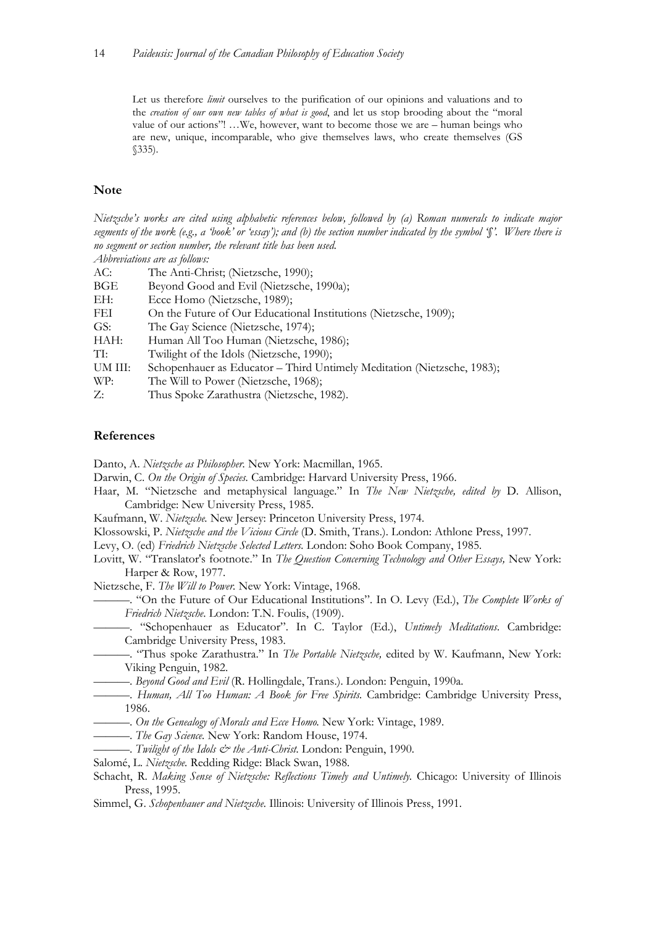Let us therefore *limit* ourselves to the purification of our opinions and valuations and to the *creation of our own new tables of what is good*, and let us stop brooding about the "moral value of our actions"! …We, however, want to become those we are – human beings who are new, unique, incomparable, who give themselves laws, who create themselves (GS §335).

#### **Note**

*Nietzsche's works are cited using alphabetic references below, followed by (a) Roman numerals to indicate major segments of the work (e.g., a 'book' or 'essay'); and (b) the section number indicated by the symbol '§'. Where there is no segment or section number, the relevant title has been used. Abbreviations are as follows:* 

| AC:     | The Anti-Christ; (Nietzsche, 1990);                                     |
|---------|-------------------------------------------------------------------------|
| BGE     | Beyond Good and Evil (Nietzsche, 1990a);                                |
| EH:     | Ecce Homo (Nietzsche, 1989);                                            |
| FEI     | On the Future of Our Educational Institutions (Nietzsche, 1909);        |
| GS:     | The Gay Science (Nietzsche, 1974);                                      |
| HAH:    | Human All Too Human (Nietzsche, 1986);                                  |
| TI:     | Twilight of the Idols (Nietzsche, 1990);                                |
| UM III: | Schopenhauer as Educator - Third Untimely Meditation (Nietzsche, 1983); |
| WP:     | The Will to Power (Nietzsche, 1968);                                    |
| Z:      | Thus Spoke Zarathustra (Nietzsche, 1982).                               |
|         |                                                                         |

#### **References**

Danto, A. *Nietzsche as Philosopher.* New York: Macmillan, 1965.

Darwin, C. *On the Origin of Species.* Cambridge: Harvard University Press, 1966.

- Haar, M. "Nietzsche and metaphysical language." In *The New Nietzsche, edited by* D. Allison, Cambridge: New University Press, 1985.
- Kaufmann, W. *Nietzsche.* New Jersey: Princeton University Press, 1974.
- Klossowski, P. *Nietzsche and the Vicious Circle* (D. Smith, Trans.). London: Athlone Press, 1997.

Levy, O. (ed) *Friedrich Nietzsche Selected Letters.* London: Soho Book Company, 1985.

Lovitt, W. "Translator's footnote." In *The Question Concerning Technology and Other Essays,* New York: Harper & Row, 1977.

Nietzsche, F. *The Will to Power.* New York: Vintage, 1968.

———. "On the Future of Our Educational Institutions". In O. Levy (Ed.), *The Complete Works of Friedrich Nietzsche*. London: T.N. Foulis, (1909).

- ———. "Schopenhauer as Educator". In C. Taylor (Ed.), *Untimely Meditations*. Cambridge: Cambridge University Press, 1983.
- ———. "Thus spoke Zarathustra." In *The Portable Nietzsche,* edited by W. Kaufmann, New York: Viking Penguin, 1982.
- ———. *Beyond Good and Evil* (R. Hollingdale, Trans.). London: Penguin, 1990a.
- ———. *Human, All Too Human: A Book for Free Spirits.* Cambridge: Cambridge University Press, 1986.
- ———. *On the Genealogy of Morals and Ecce Homo.* New York: Vintage, 1989.
- ———. *The Gay Science.* New York: Random House, 1974.
- ———. *Twilight of the Idols & the Anti-Christ.* London: Penguin, 1990.
- Salomé, L. *Nietzsche.* Redding Ridge: Black Swan, 1988.
- Schacht, R. *Making Sense of Nietzsche: Reflections Timely and Untimely*. Chicago: University of Illinois Press, 1995.
- Simmel, G. *Schopenhauer and Nietzsche.* Illinois: University of Illinois Press, 1991.